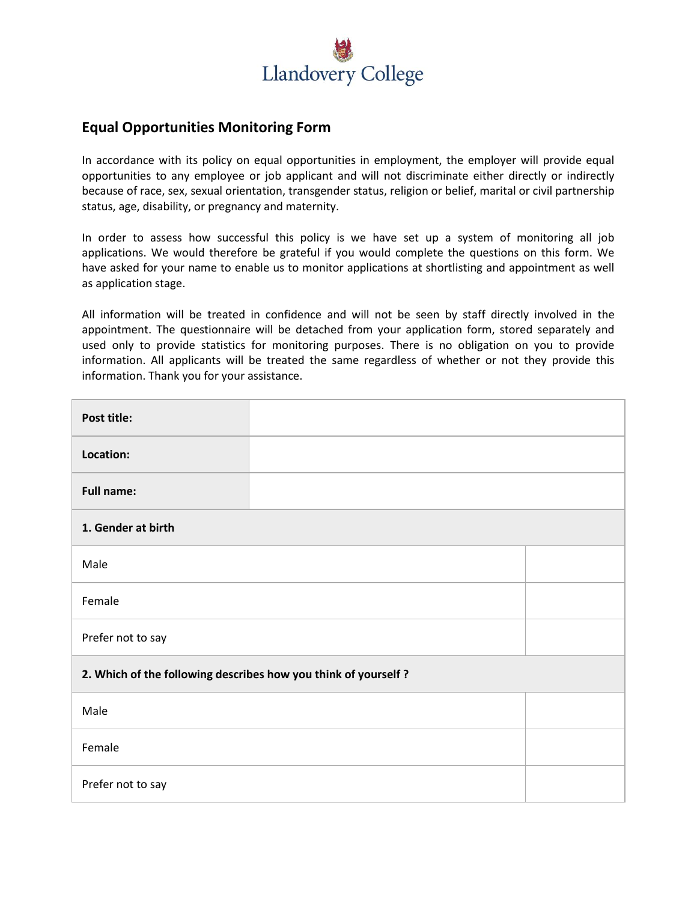

## **Equal Opportunities Monitoring Form**

In accordance with its policy on equal opportunities in employment, the employer will provide equal opportunities to any employee or job applicant and will not discriminate either directly or indirectly because of race, sex, sexual orientation, transgender status, religion or belief, marital or civil partnership status, age, disability, or pregnancy and maternity.

In order to assess how successful this policy is we have set up a system of monitoring all job applications. We would therefore be grateful if you would complete the questions on this form. We have asked for your name to enable us to monitor applications at shortlisting and appointment as well as application stage.

All information will be treated in confidence and will not be seen by staff directly involved in the appointment. The questionnaire will be detached from your application form, stored separately and used only to provide statistics for monitoring purposes. There is no obligation on you to provide information. All applicants will be treated the same regardless of whether or not they provide this information. Thank you for your assistance.

| Post title:                                                    |  |  |  |  |
|----------------------------------------------------------------|--|--|--|--|
| Location:                                                      |  |  |  |  |
| <b>Full name:</b>                                              |  |  |  |  |
| 1. Gender at birth                                             |  |  |  |  |
| Male                                                           |  |  |  |  |
| Female                                                         |  |  |  |  |
| Prefer not to say                                              |  |  |  |  |
| 2. Which of the following describes how you think of yourself? |  |  |  |  |
| Male                                                           |  |  |  |  |
| Female                                                         |  |  |  |  |
| Prefer not to say                                              |  |  |  |  |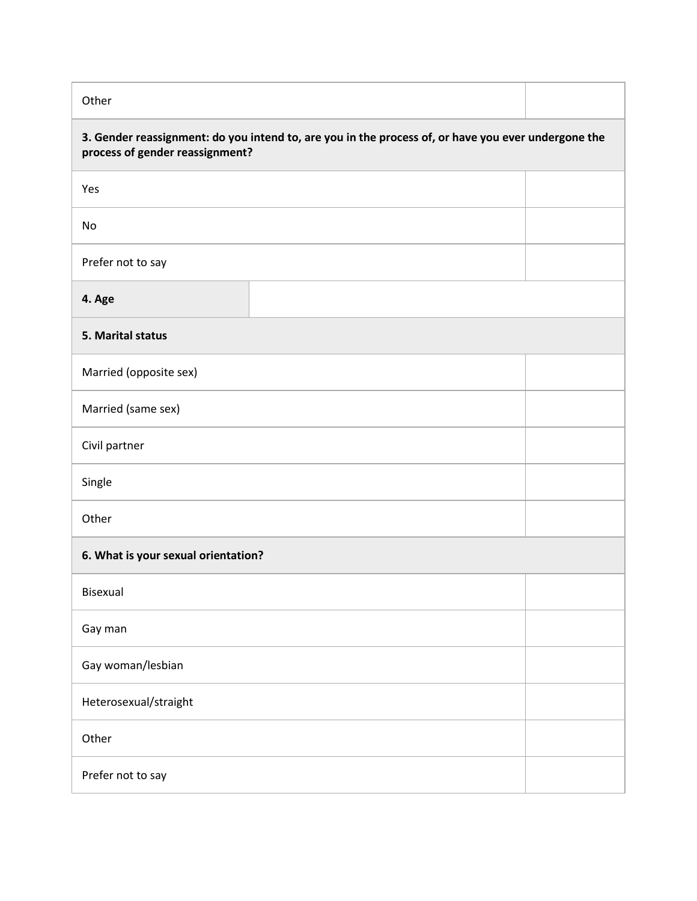Other

| 3. Gender reassignment: do you intend to, are you in the process of, or have you ever undergone the<br>process of gender reassignment? |  |  |  |  |
|----------------------------------------------------------------------------------------------------------------------------------------|--|--|--|--|
| Yes                                                                                                                                    |  |  |  |  |
| No                                                                                                                                     |  |  |  |  |
| Prefer not to say                                                                                                                      |  |  |  |  |
| 4. Age                                                                                                                                 |  |  |  |  |
| 5. Marital status                                                                                                                      |  |  |  |  |
| Married (opposite sex)                                                                                                                 |  |  |  |  |
| Married (same sex)                                                                                                                     |  |  |  |  |
| Civil partner                                                                                                                          |  |  |  |  |
| Single                                                                                                                                 |  |  |  |  |
| Other                                                                                                                                  |  |  |  |  |
| 6. What is your sexual orientation?                                                                                                    |  |  |  |  |
| <b>Bisexual</b>                                                                                                                        |  |  |  |  |
| Gay man                                                                                                                                |  |  |  |  |
| Gay woman/lesbian                                                                                                                      |  |  |  |  |
| Heterosexual/straight                                                                                                                  |  |  |  |  |
| Other                                                                                                                                  |  |  |  |  |
| Prefer not to say                                                                                                                      |  |  |  |  |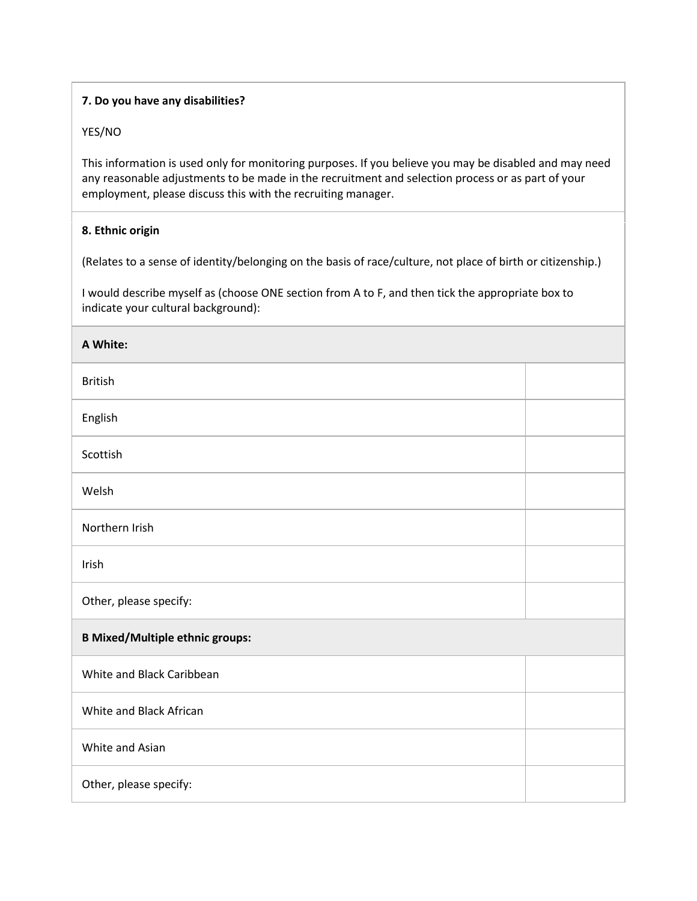## **7. Do you have any disabilities?**

## YES/NO

This information is used only for monitoring purposes. If you believe you may be disabled and may need any reasonable adjustments to be made in the recruitment and selection process or as part of your employment, please discuss this with the recruiting manager.

## **8. Ethnic origin**

(Relates to a sense of identity/belonging on the basis of race/culture, not place of birth or citizenship.)

I would describe myself as (choose ONE section from A to F, and then tick the appropriate box to indicate your cultural background):

| A White:                               |  |  |  |
|----------------------------------------|--|--|--|
| <b>British</b>                         |  |  |  |
| English                                |  |  |  |
| Scottish                               |  |  |  |
| Welsh                                  |  |  |  |
| Northern Irish                         |  |  |  |
| Irish                                  |  |  |  |
| Other, please specify:                 |  |  |  |
| <b>B Mixed/Multiple ethnic groups:</b> |  |  |  |
| White and Black Caribbean              |  |  |  |
| White and Black African                |  |  |  |
| White and Asian                        |  |  |  |
| Other, please specify:                 |  |  |  |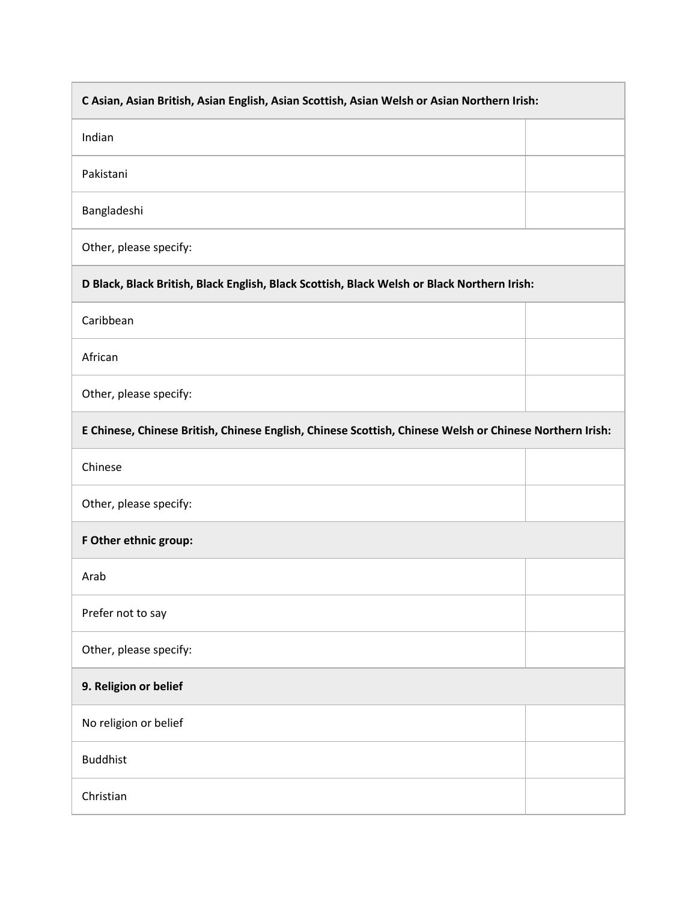| C Asian, Asian British, Asian English, Asian Scottish, Asian Welsh or Asian Northern Irish:             |  |  |  |  |
|---------------------------------------------------------------------------------------------------------|--|--|--|--|
| Indian                                                                                                  |  |  |  |  |
| Pakistani                                                                                               |  |  |  |  |
| Bangladeshi                                                                                             |  |  |  |  |
| Other, please specify:                                                                                  |  |  |  |  |
| D Black, Black British, Black English, Black Scottish, Black Welsh or Black Northern Irish:             |  |  |  |  |
| Caribbean                                                                                               |  |  |  |  |
| African                                                                                                 |  |  |  |  |
| Other, please specify:                                                                                  |  |  |  |  |
| E Chinese, Chinese British, Chinese English, Chinese Scottish, Chinese Welsh or Chinese Northern Irish: |  |  |  |  |
| Chinese                                                                                                 |  |  |  |  |
| Other, please specify:                                                                                  |  |  |  |  |
| F Other ethnic group:                                                                                   |  |  |  |  |
| Arab                                                                                                    |  |  |  |  |
| Prefer not to say                                                                                       |  |  |  |  |
| Other, please specify:                                                                                  |  |  |  |  |
| 9. Religion or belief                                                                                   |  |  |  |  |
| No religion or belief                                                                                   |  |  |  |  |
| <b>Buddhist</b>                                                                                         |  |  |  |  |
| Christian                                                                                               |  |  |  |  |